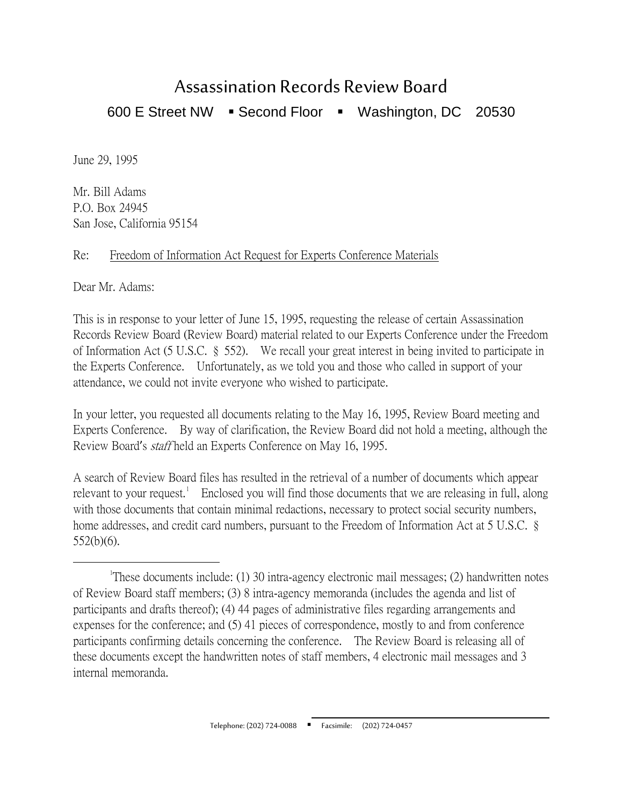## Assassination Records Review Board 600 E Street NW · Second Floor · Washington, DC 20530

June 29, 1995

Mr. Bill Adams P.O. Box 24945 San Jose, California 95154

## Re: Freedom of Information Act Request for Experts Conference Materials

Dear Mr. Adams:

This is in response to your letter of June 15, 1995, requesting the release of certain Assassination Records Review Board (Review Board) material related to our Experts Conference under the Freedom of Information Act (5 U.S.C. § 552). We recall your great interest in being invited to participate in the Experts Conference. Unfortunately, as we told you and those who called in support of your attendance, we could not invite everyone who wished to participate.

In your letter, you requested all documents relating to the May 16, 1995, Review Board meeting and Experts Conference. By way of clarification, the Review Board did not hold a meeting, although the Review Board's staff held an Experts Conference on May 16, 1995.

A search of Review Board files has resulted in the retrieval of a number of documents which appear relevant to your request.<sup>[1](#page-0-0)</sup> Enclosed you will find those documents that we are releasing in full, along with those documents that contain minimal redactions, necessary to protect social security numbers, home addresses, and credit card numbers, pursuant to the Freedom of Information Act at 5 U.S.C. § 552(b)(6).

<span id="page-0-0"></span> $\overline{\phantom{a}}$ These documents include: (1) 30 intra-agency electronic mail messages; (2) handwritten notes of Review Board staff members; (3) 8 intra-agency memoranda (includes the agenda and list of participants and drafts thereof); (4) 44 pages of administrative files regarding arrangements and expenses for the conference; and (5) 41 pieces of correspondence, mostly to and from conference participants confirming details concerning the conference. The Review Board is releasing all of these documents except the handwritten notes of staff members, 4 electronic mail messages and 3 internal memoranda.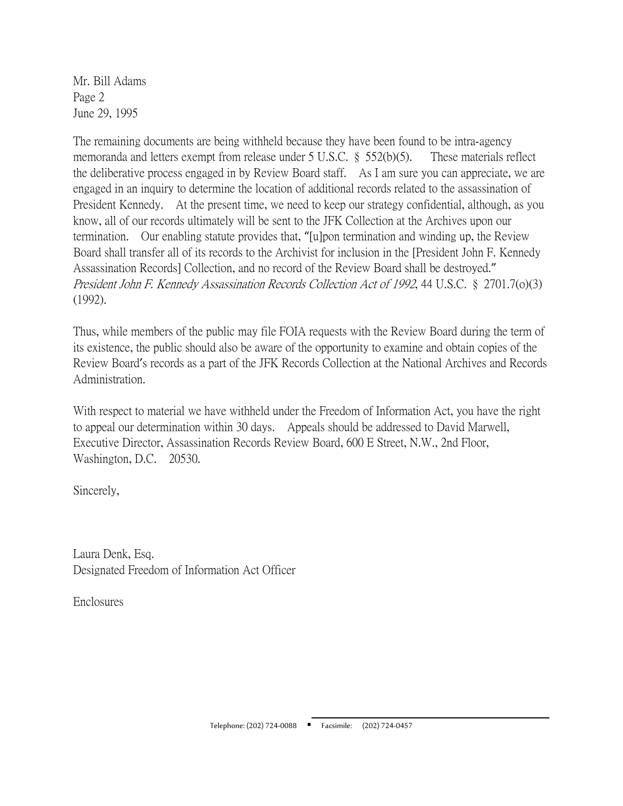Mr. Bill Adams Page 2 June 29, 1995

The remaining documents are being withheld because they have been found to be intra-agency memoranda and letters exempt from release under 5 U.S.C. § 552(b)(5). These materials reflect the deliberative process engaged in by Review Board staff. As I am sure you can appreciate, we are engaged in an inquiry to determine the location of additional records related to the assassination of President Kennedy. At the present time, we need to keep our strategy confidential, although, as you know, all of our records ultimately will be sent to the JFK Collection at the Archives upon our termination. Our enabling statute provides that, "[u]pon termination and winding up, the Review Board shall transfer all of its records to the Archivist for inclusion in the [President John F. Kennedy Assassination Records] Collection, and no record of the Review Board shall be destroyed." President John F. Kennedy Assassination Records Collection Act of 1992, 44 U.S.C. § 2701.7(o)(3) (1992).

Thus, while members of the public may file FOIA requests with the Review Board during the term of its existence, the public should also be aware of the opportunity to examine and obtain copies of the Review Board's records as a part of the JFK Records Collection at the National Archives and Records Administration.

With respect to material we have withheld under the Freedom of Information Act, you have the right to appeal our determination within 30 days. Appeals should be addressed to David Marwell, Executive Director, Assassination Records Review Board, 600 E Street, N.W., 2nd Floor, Washington, D.C. 20530.

Sincerely,

Laura Denk, Esq. Designated Freedom of Information Act Officer

**Enclosures**